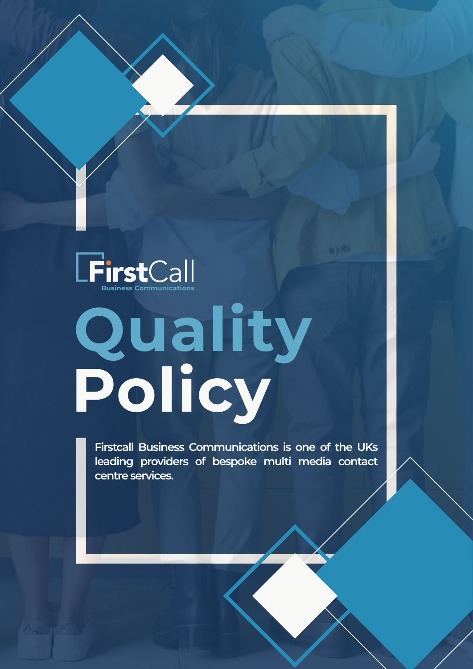

## **Quality Policy**

**Firstcall Business Communications is one of the UKs leading providers of bespoke multi media contact centre services.**